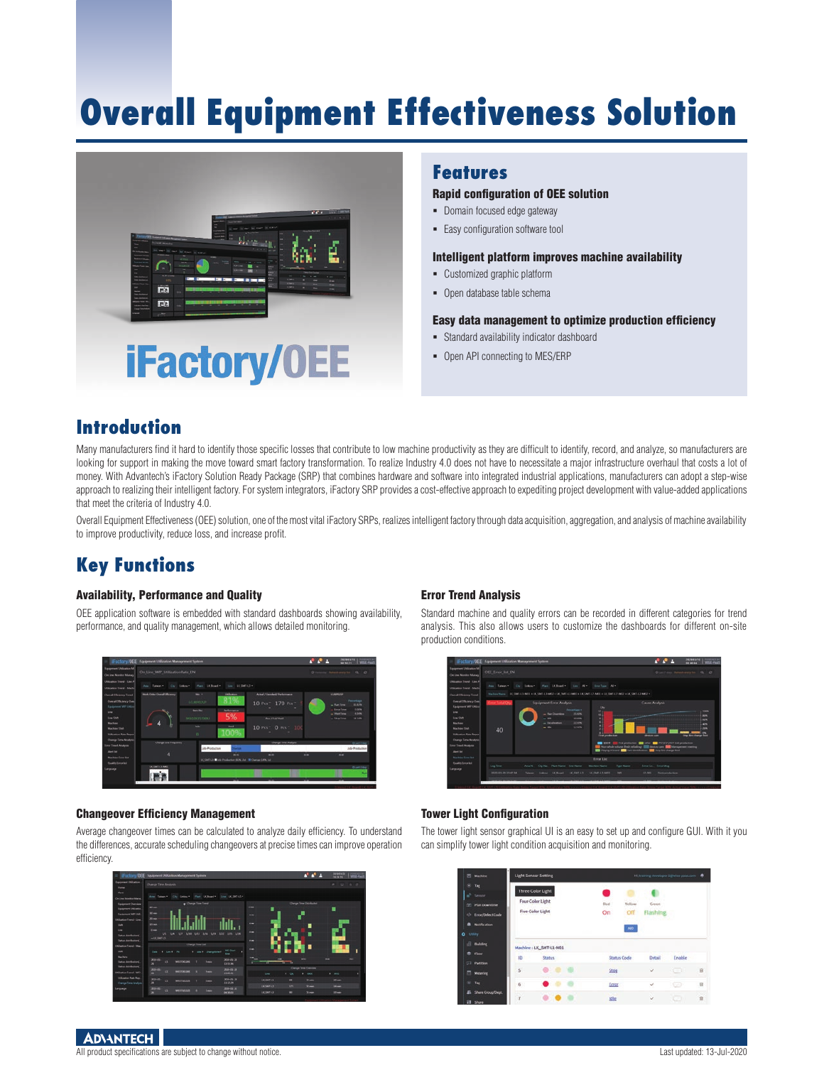# **Overall Equipment Effectiveness Solution**



### **Features**

### Rapid configuration of OEE solution

- Domain focused edge gateway
- Easy configuration software tool

#### Intelligent platform improves machine availability

- Customized graphic platform
- Open database table schema

#### Easy data management to optimize production efficiency

- Standard availability indicator dashboard
- Open API connecting to MES/ERP

### **Introduction**

Many manufacturers find it hard to identify those specific losses that contribute to low machine productivity as they are difficult to identify, record, and analyze, so manufacturers are looking for support in making the move toward smart factory transformation. To realize Industry 4.0 does not have to necessitate a major infrastructure overhaul that costs a lot of money. With Advantech's iFactory Solution Ready Package (SRP) that combines hardware and software into integrated industrial applications, manufacturers can adopt a step-wise approach to realizing their intelligent factory. For system integrators, iFactory SRP provides a cost-effective approach to expediting project development with value-added applications that meet the criteria of Industry 4.0.

Overall Equipment Effectiveness (OEE) solution, one of the most vital iFactory SRPs, realizes intelligent factory through data acquisition, aggregation, and analysis of machine availability to improve productivity, reduce loss, and increase profit.

### **Key Functions**

### Availability, Performance and Quality

OEE application software is embedded with standard dashboards showing availability, performance, and quality management, which allows detailed monitoring.



#### Changeover Efficiency Management

Average changeover times can be calculated to analyze daily efficiency. To understand the differences, accurate scheduling changeovers at precise times can improve operation efficiency.



### Error Trend Analysis

Standard machine and quality errors can be recorded in different categories for trend analysis. This also allows users to customize the dashboards for different on-site production conditions.



### Tower Light Configuration

The tower light sensor graphical UI is an easy to set up and configure GUI. With it you can simplify tower light condition acquisition and monitoring.

| Machine                                                                                                          |           | <b>Light Sensor Setting</b>                                      |  |                   |                       | Hi, training developer E@wise-paar.com  |              |          |
|------------------------------------------------------------------------------------------------------------------|-----------|------------------------------------------------------------------|--|-------------------|-----------------------|-----------------------------------------|--------------|----------|
| Tag<br>$\circ$<br>$\mathbf{u}^*$ Second<br>Plan Downtime<br>≂<br><b>Error/Defect Code</b><br>ab.<br>Notification |           | Three-Color Light<br>Four-Color Light<br><b>Five-Color Light</b> |  | <b>Bid</b><br>On. | Vellow<br>Off<br>ADD. | Green.<br>Flashing<br><b>STATISTICS</b> |              |          |
| ussy                                                                                                             |           |                                                                  |  |                   |                       |                                         |              |          |
| <b>El Bullding</b>                                                                                               |           | Machine: LK_SMT-L1-M01                                           |  |                   |                       |                                         |              |          |
| Floor<br>۰                                                                                                       | ID.       | Status.                                                          |  |                   | <b>Status Code</b>    | Detail                                  | Enable       |          |
| <b>COL</b><br><b>Partition</b>                                                                                   |           |                                                                  |  |                   |                       |                                         |              |          |
| <b>Netering</b>                                                                                                  | 5         | 0.0000                                                           |  | Stop              |                       | s.                                      | <b>REDIT</b> | 自        |
| Teg<br>æ.                                                                                                        | $6^\circ$ | . .                                                              |  | Error             |                       | $\omega$                                | - 13         | 谓        |
| Share Group/Dept.                                                                                                | $\tau$    |                                                                  |  | œ                 |                       |                                         |              | $\alpha$ |
| <b>II</b> share                                                                                                  |           |                                                                  |  | idie<br>.         |                       | U                                       | ъn           |          |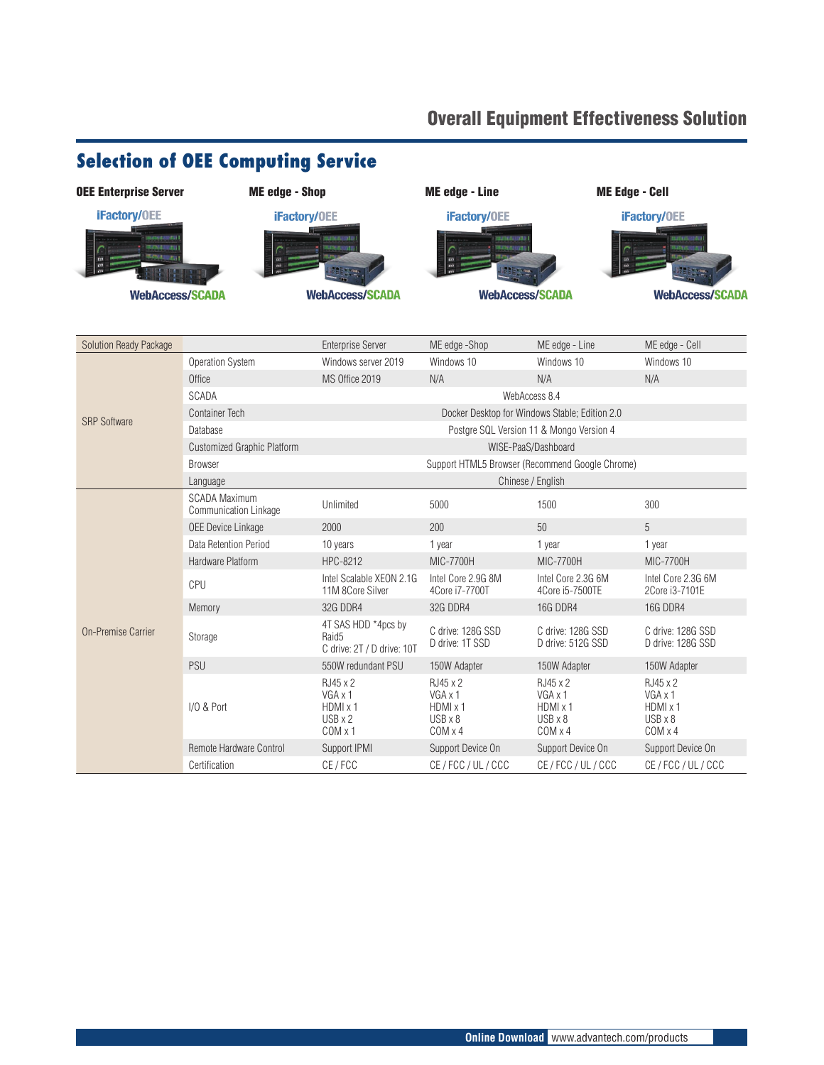### Overall Equipment Effectiveness Solution

## **Selection of OEE Computing Service**



| Solution Ready Package    |                                                                          | <b>Enterprise Server</b>                                               | ME edge -Shop                                                       | ME edge - Line                                                      | ME edge - Cell                                                      |  |  |
|---------------------------|--------------------------------------------------------------------------|------------------------------------------------------------------------|---------------------------------------------------------------------|---------------------------------------------------------------------|---------------------------------------------------------------------|--|--|
|                           | <b>Operation System</b>                                                  | Windows server 2019                                                    | Windows 10                                                          | Windows 10                                                          | Windows 10                                                          |  |  |
|                           | Office                                                                   | MS Office 2019                                                         | N/A                                                                 | N/A                                                                 | N/A                                                                 |  |  |
|                           | <b>SCADA</b>                                                             | WebAccess 8.4                                                          |                                                                     |                                                                     |                                                                     |  |  |
| <b>SRP Software</b>       | <b>Container Tech</b><br>Docker Desktop for Windows Stable; Edition 2.0  |                                                                        |                                                                     |                                                                     |                                                                     |  |  |
|                           | Database                                                                 | Postgre SQL Version 11 & Mongo Version 4                               |                                                                     |                                                                     |                                                                     |  |  |
|                           | <b>Customized Graphic Platform</b>                                       | WISE-PaaS/Dashboard                                                    |                                                                     |                                                                     |                                                                     |  |  |
|                           | Support HTML5 Browser (Recommend Google Chrome)<br><b>Browser</b>        |                                                                        |                                                                     |                                                                     |                                                                     |  |  |
|                           | Chinese / English<br>Language                                            |                                                                        |                                                                     |                                                                     |                                                                     |  |  |
|                           | <b>SCADA Maximum</b><br><b>Communication Linkage</b>                     | Unlimited                                                              | 5000                                                                | 1500                                                                | 300                                                                 |  |  |
|                           | <b>OEE Device Linkage</b>                                                | 2000                                                                   | 200                                                                 | 50                                                                  | 5                                                                   |  |  |
|                           | Data Retention Period                                                    | 10 years                                                               | 1 year                                                              | 1 year                                                              | 1 year                                                              |  |  |
|                           | Hardware Platform                                                        | HPC-8212                                                               | MIC-7700H                                                           | <b>MIC-7700H</b>                                                    | <b>MIC-7700H</b>                                                    |  |  |
|                           | CPU                                                                      | Intel Scalable XEON 2.1G<br>11M 8Core Silver                           | Intel Core 2.9G 8M<br>4Core i7-7700T                                | Intel Core 2.3G 6M<br>4Core i5-7500TE                               | Intel Core 2.3G 6M<br>2Core i3-7101E                                |  |  |
|                           | Memory                                                                   | <b>32G DDR4</b>                                                        | <b>32G DDR4</b>                                                     | <b>16G DDR4</b>                                                     | <b>16G DDR4</b>                                                     |  |  |
| <b>On-Premise Carrier</b> | Storage                                                                  | 4T SAS HDD *4pcs by<br>Raid <sub>5</sub><br>C drive: 2T / D drive: 10T | C drive: 128G SSD<br>D drive: 1T SSD                                | C drive: 128G SSD<br>D drive: 512G SSD                              | C drive: 128G SSD<br>D drive: 128G SSD                              |  |  |
|                           | <b>PSU</b>                                                               | 550W redundant PSU                                                     | 150W Adapter                                                        | 150W Adapter                                                        | 150W Adapter                                                        |  |  |
|                           | RJ45 x 2<br>VGA x 1<br>I/O & Port<br>HDMI x 1<br>$USB \times 2$<br>COMX1 |                                                                        | RJ45 x 2<br>VGA x 1<br>HDMI x 1<br>$USB \times 8$<br>$COM \times 4$ | RJ45 x 2<br>VGA x 1<br>HDMI x 1<br>$USB \times 8$<br>$COM \times 4$ | RJ45 x 2<br>VGA x 1<br>HDMI x 1<br>$USB \times 8$<br>$COM \times 4$ |  |  |
|                           | Remote Hardware Control                                                  | Support IPMI                                                           | Support Device On                                                   | Support Device On                                                   | Support Device On                                                   |  |  |
|                           | Certification                                                            | CE / FCC                                                               | CE / FCC / UL / CCC                                                 | CE / FCC / UL / CCC                                                 | CE / FCC / UL / CCC                                                 |  |  |